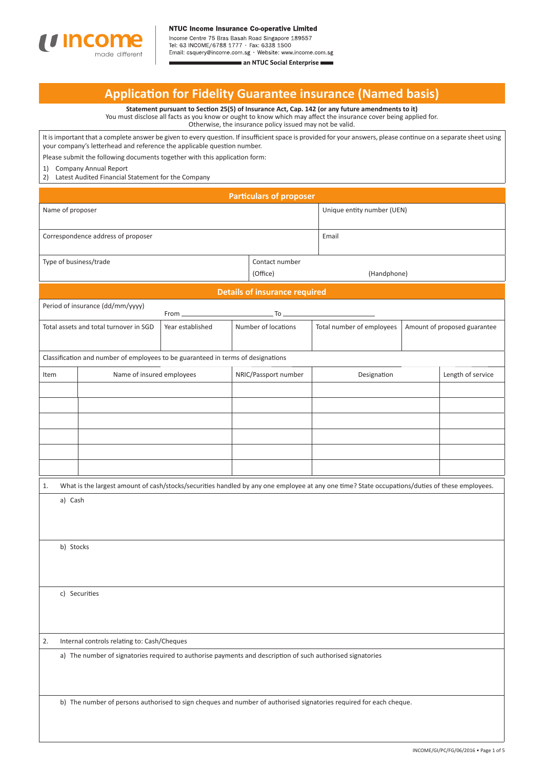

Tel: 63 INCOME/6788 1777 · Fax: 6338 1500

Email: csquery@income.com.sg · Website: www.income.com.sg an NTUC Social Enterprise

# **Applicati on for Fidelity Guarantee insurance (Named basis)**

**Statement pursuant to Secti on 25(5) of Insurance Act, Cap. 142 (or any future amendments to it)** You must disclose all facts as you know or ought to know which may affect the insurance cover being applied for. Otherwise, the insurance policy issued may not be valid.

It is important that a complete answer be given to every question. If insufficient space is provided for your answers, please continue on a separate sheet using your company's letterhead and reference the applicable question number.

Please submit the following documents together with this application form:

1) Company Annual Report

2) Latest Audited Financial Statement for the Company

| <b>Particulars of proposer</b>                                                                                     |                                                                                                            |                  |  |                                      |                                                                                                                                                |                              |  |
|--------------------------------------------------------------------------------------------------------------------|------------------------------------------------------------------------------------------------------------|------------------|--|--------------------------------------|------------------------------------------------------------------------------------------------------------------------------------------------|------------------------------|--|
| Name of proposer                                                                                                   |                                                                                                            |                  |  |                                      | Unique entity number (UEN)                                                                                                                     |                              |  |
| Correspondence address of proposer                                                                                 |                                                                                                            |                  |  |                                      | Email                                                                                                                                          |                              |  |
| Type of business/trade                                                                                             |                                                                                                            |                  |  | Contact number<br>(Office)           | (Handphone)                                                                                                                                    |                              |  |
|                                                                                                                    |                                                                                                            |                  |  | <b>Details of insurance required</b> |                                                                                                                                                |                              |  |
|                                                                                                                    | Period of insurance (dd/mm/yyyy)                                                                           | From             |  | To                                   |                                                                                                                                                |                              |  |
|                                                                                                                    | Total assets and total turnover in SGD                                                                     | Year established |  | Number of locations                  | Total number of employees                                                                                                                      | Amount of proposed guarantee |  |
|                                                                                                                    | Classification and number of employees to be guaranteed in terms of designations                           |                  |  |                                      |                                                                                                                                                |                              |  |
| Item                                                                                                               | Name of insured employees                                                                                  |                  |  | NRIC/Passport number                 | Designation                                                                                                                                    | Length of service            |  |
|                                                                                                                    |                                                                                                            |                  |  |                                      |                                                                                                                                                |                              |  |
|                                                                                                                    |                                                                                                            |                  |  |                                      |                                                                                                                                                |                              |  |
|                                                                                                                    |                                                                                                            |                  |  |                                      |                                                                                                                                                |                              |  |
|                                                                                                                    |                                                                                                            |                  |  |                                      |                                                                                                                                                |                              |  |
|                                                                                                                    |                                                                                                            |                  |  |                                      |                                                                                                                                                |                              |  |
|                                                                                                                    |                                                                                                            |                  |  |                                      |                                                                                                                                                |                              |  |
| 1.                                                                                                                 |                                                                                                            |                  |  |                                      | What is the largest amount of cash/stocks/securities handled by any one employee at any one time? State occupations/duties of these employees. |                              |  |
| a) Cash                                                                                                            |                                                                                                            |                  |  |                                      |                                                                                                                                                |                              |  |
|                                                                                                                    |                                                                                                            |                  |  |                                      |                                                                                                                                                |                              |  |
|                                                                                                                    |                                                                                                            |                  |  |                                      |                                                                                                                                                |                              |  |
| b) Stocks                                                                                                          |                                                                                                            |                  |  |                                      |                                                                                                                                                |                              |  |
|                                                                                                                    |                                                                                                            |                  |  |                                      |                                                                                                                                                |                              |  |
|                                                                                                                    | c) Securities                                                                                              |                  |  |                                      |                                                                                                                                                |                              |  |
|                                                                                                                    |                                                                                                            |                  |  |                                      |                                                                                                                                                |                              |  |
|                                                                                                                    |                                                                                                            |                  |  |                                      |                                                                                                                                                |                              |  |
| 2.                                                                                                                 | Internal controls relating to: Cash/Cheques                                                                |                  |  |                                      |                                                                                                                                                |                              |  |
|                                                                                                                    | a) The number of signatories required to authorise payments and description of such authorised signatories |                  |  |                                      |                                                                                                                                                |                              |  |
|                                                                                                                    |                                                                                                            |                  |  |                                      |                                                                                                                                                |                              |  |
| b) The number of persons authorised to sign cheques and number of authorised signatories required for each cheque. |                                                                                                            |                  |  |                                      |                                                                                                                                                |                              |  |
|                                                                                                                    |                                                                                                            |                  |  |                                      |                                                                                                                                                |                              |  |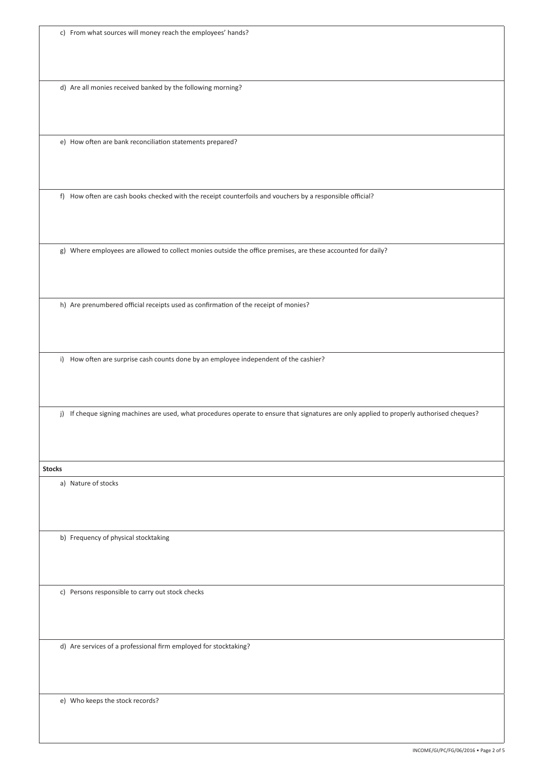|  |  |  | c) From what sources will money reach the employees' hands? |  |
|--|--|--|-------------------------------------------------------------|--|
|--|--|--|-------------------------------------------------------------|--|

d) Are all monies received banked by the following morning?

e) How often are bank reconciliation statements prepared?

f) How often are cash books checked with the receipt counterfoils and vouchers by a responsible official?

g) Where employees are allowed to collect monies outside the office premises, are these accounted for daily?

h) Are prenumbered official receipts used as confirmation of the receipt of monies?

i) How often are surprise cash counts done by an employee independent of the cashier?

j) If cheque signing machines are used, what procedures operate to ensure that signatures are only applied to properly authorised cheques?

**Stocks**

a) Nature of stocks

b) Frequency of physical stocktaking

c) Persons responsible to carry out stock checks

d) Are services of a professional firm employed for stocktaking?

e) Who keeps the stock records?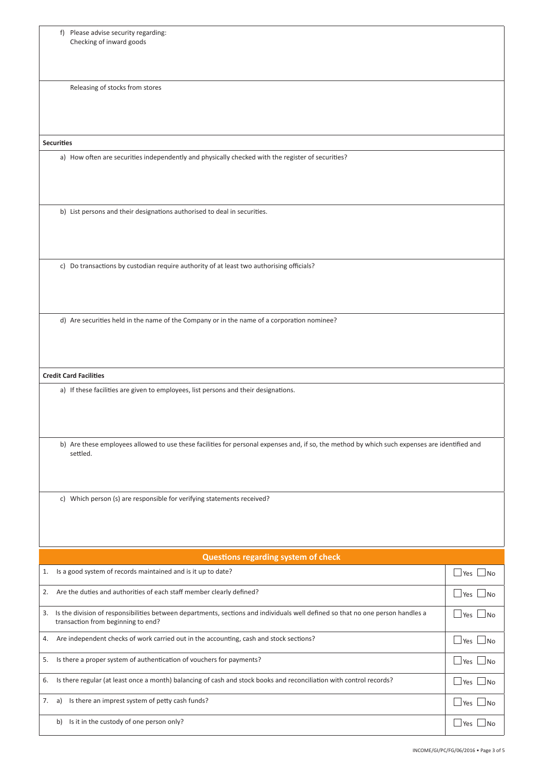| f) Please advise security regarding:<br>Checking of inward goods                                                                                                           |                          |
|----------------------------------------------------------------------------------------------------------------------------------------------------------------------------|--------------------------|
| Releasing of stocks from stores                                                                                                                                            |                          |
| <b>Securities</b>                                                                                                                                                          |                          |
| a) How often are securities independently and physically checked with the register of securities?                                                                          |                          |
|                                                                                                                                                                            |                          |
| b) List persons and their designations authorised to deal in securities.                                                                                                   |                          |
| c) Do transactions by custodian require authority of at least two authorising officials?                                                                                   |                          |
| d) Are securities held in the name of the Company or in the name of a corporation nominee?                                                                                 |                          |
| <b>Credit Card Facilities</b>                                                                                                                                              |                          |
| a) If these facilities are given to employees, list persons and their designations.                                                                                        |                          |
|                                                                                                                                                                            |                          |
| b) Are these employees allowed to use these facilities for personal expenses and, if so, the method by which such expenses are identified and<br>settled.                  |                          |
| c) Which person (s) are responsible for verifying statements received?                                                                                                     |                          |
| Questions regarding system of check                                                                                                                                        |                          |
| Is a good system of records maintained and is it up to date?<br>1.                                                                                                         | $\Box$ Yes $\Box$ No     |
| Are the duties and authorities of each staff member clearly defined?<br>2.                                                                                                 | $\Box$ Yes $\Box$ No     |
| Is the division of responsibilities between departments, sections and individuals well defined so that no one person handles a<br>3.<br>transaction from beginning to end? | $\Box$ Yes $\Box$ No     |
| Are independent checks of work carried out in the accounting, cash and stock sections?<br>4.                                                                               | $\sqcup$ Yes $\sqcup$ No |
| Is there a proper system of authentication of vouchers for payments?<br>5.                                                                                                 | $\Box$ Yes $\Box$ No     |
| Is there regular (at least once a month) balancing of cash and stock books and reconciliation with control records?<br>6.                                                  | $\sqcup$ Yes $\sqcup$ No |
| Is there an imprest system of petty cash funds?<br>7.<br>a)                                                                                                                | $\Box$ Yes $\Box$ No     |
| b) Is it in the custody of one person only?                                                                                                                                | $\Box$ Yes $\Box$ No     |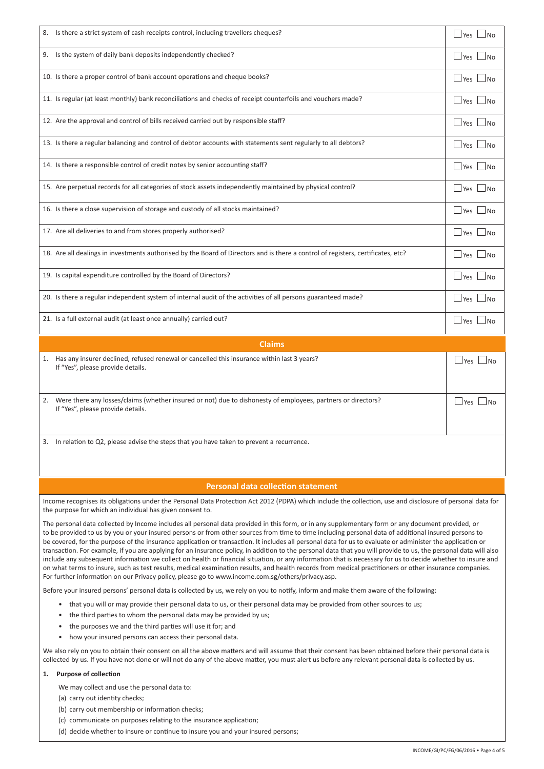| 8. Is there a strict system of cash receipts control, including travellers cheques?                                              | $ Yes $ $ No$                             |  |  |
|----------------------------------------------------------------------------------------------------------------------------------|-------------------------------------------|--|--|
| 9. Is the system of daily bank deposits independently checked?                                                                   | Yes<br> N <sub>O</sub>                    |  |  |
| 10. Is there a proper control of bank account operations and cheque books?                                                       | Yes<br>$\Box$ No                          |  |  |
| 11. Is regular (at least monthly) bank reconciliations and checks of receipt counterfoils and vouchers made?                     | $\Box$ Yes<br>$\overline{\phantom{a}}$ No |  |  |
| 12. Are the approval and control of bills received carried out by responsible staff?                                             | Yes<br>$ N_{\Omega}$                      |  |  |
| 13. Is there a regular balancing and control of debtor accounts with statements sent regularly to all debtors?                   | Yes<br> No                                |  |  |
| 14. Is there a responsible control of credit notes by senior accounting staff?                                                   | Yes<br>$\Box$ No                          |  |  |
| 15. Are perpetual records for all categories of stock assets independently maintained by physical control?                       | Yes<br> No                                |  |  |
| 16. Is there a close supervision of storage and custody of all stocks maintained?                                                | Yes<br> No                                |  |  |
| 17. Are all deliveries to and from stores properly authorised?                                                                   | Yes<br> No                                |  |  |
| 18. Are all dealings in investments authorised by the Board of Directors and is there a control of registers, certificates, etc? | Yes<br>$\Box$ No                          |  |  |
| 19. Is capital expenditure controlled by the Board of Directors?                                                                 | Yes<br>$ N_{\Omega}$                      |  |  |
| 20. Is there a regular independent system of internal audit of the activities of all persons guaranteed made?                    | Yes<br> N <sub>O</sub>                    |  |  |
| 21. Is a full external audit (at least once annually) carried out?                                                               | $\Box$ Yes<br>⊥No                         |  |  |
| <b>Claims</b>                                                                                                                    |                                           |  |  |
|                                                                                                                                  |                                           |  |  |

| 1. | Has any insurer declined, refused renewal or cancelled this insurance within last 3 years?<br>If "Yes", please provide details.                   | <b>Yes</b><br>l No          |
|----|---------------------------------------------------------------------------------------------------------------------------------------------------|-----------------------------|
| 2. | Were there any losses/claims (whether insured or not) due to dishonesty of employees, partners or directors?<br>If "Yes", please provide details. | $\gamma_{\text{PS}}$<br>∣N∩ |

3. In relation to Q2, please advise the steps that you have taken to prevent a recurrence.

## **Personal data collection statement**

Income recognises its obligations under the Personal Data Protection Act 2012 (PDPA) which include the collection, use and disclosure of personal data for the purpose for which an individual has given consent to.

The personal data collected by Income includes all personal data provided in this form, or in any supplementary form or any document provided, or to be provided to us by you or your insured persons or from other sources from time to time including personal data of additional insured persons to be covered, for the purpose of the insurance application or transaction. It includes all personal data for us to evaluate or administer the application or transaction. For example, if you are applying for an insurance policy, in addition to the personal data that you will provide to us, the personal data will also include any subsequent information we collect on health or financial situation, or any information that is necessary for us to decide whether to insure and on what terms to insure, such as test results, medical examination results, and health records from medical practitioners or other insurance companies. For further information on our Privacy policy, please go to www.income.com.sg/others/privacy.asp.

Before your insured persons' personal data is collected by us, we rely on you to notify, inform and make them aware of the following:

• that you will or may provide their personal data to us, or their personal data may be provided from other sources to us;

- the third parties to whom the personal data may be provided by us;
- the purposes we and the third parties will use it for; and
- how your insured persons can access their personal data.

We also rely on you to obtain their consent on all the above matters and will assume that their consent has been obtained before their personal data is collected by us. If you have not done or will not do any of the above matter, you must alert us before any relevant personal data is collected by us.

# 1. Purpose of collection

- We may collect and use the personal data to:
- (a) carry out identity checks:
- (b) carry out membership or information checks;
- (c) communicate on purposes relating to the insurance application;
- (d) decide whether to insure or continue to insure you and your insured persons;